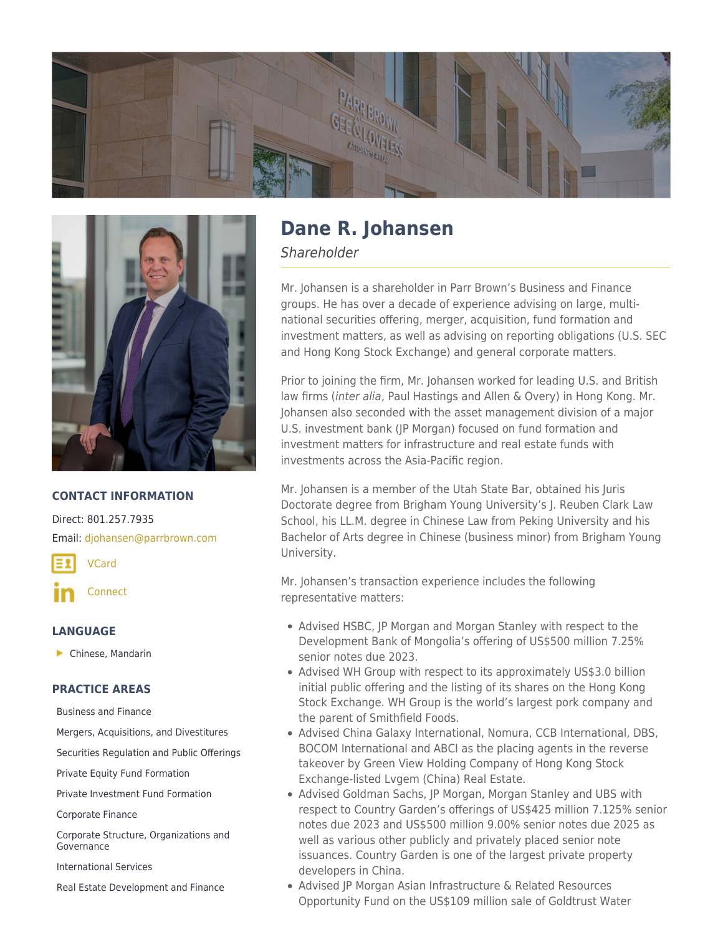



# **CONTACT INFORMATION**

Direct: 801.257.7935 Email: [djohansen@parrbrown.com](mailto:djohansen@parrbrown.com)

[VCard](https://parrbrown.com/wp-content/uploads/2019/03/Dane-R.-Johansen.vcf)

**[Connect](https://www.linkedin.com/in/dane-johansen-38b1791a/)** 

### **LANGUAGE**

**Chinese, Mandarin** 

### **PRACTICE AREAS**

[Business and Finance](https://parrbrown.com/services/business-finance/)

[Mergers, Acquisitions, and Divestitures](https://parrbrown.com/services/business-finance/mergers-acquisitions-and-divestitures/)

[Securities Regulation and Public Offerings](https://parrbrown.com/services/business-finance/securities-regulation-public-offerings/)

[Private Equity Fund Formation](https://parrbrown.com/services/business-finance/private-equity-fund-formation-compliance/)

[Private Investment Fund Formation](https://parrbrown.com/services/business-finance/private-investment-fund-formation/)

[Corporate Finance](https://parrbrown.com/services/business-finance/corporate-finance/)

[Corporate Structure, Organizations and](https://parrbrown.com/services/business-finance/corporate-structure-organizations-and-governance/) [Governance](https://parrbrown.com/services/business-finance/corporate-structure-organizations-and-governance/)

[International Services](https://parrbrown.com/services/international-services/)

[Real Estate Development and Finance](https://parrbrown.com/services/real-estate-law/real-estate-development-finance/)

# **Dane R. Johansen**

Shareholder

Mr. Johansen is a shareholder in Parr Brown's Business and Finance groups. He has over a decade of experience advising on large, multinational securities offering, merger, acquisition, fund formation and investment matters, as well as advising on reporting obligations (U.S. SEC and Hong Kong Stock Exchange) and general corporate matters.

Prior to joining the firm, Mr. Johansen worked for leading U.S. and British law firms (inter alia, Paul Hastings and Allen & Overy) in Hong Kong. Mr. Johansen also seconded with the asset management division of a major U.S. investment bank (JP Morgan) focused on fund formation and investment matters for infrastructure and real estate funds with investments across the Asia-Pacific region.

Mr. Johansen is a member of the Utah State Bar, obtained his Juris Doctorate degree from Brigham Young University's J. Reuben Clark Law School, his LL.M. degree in Chinese Law from Peking University and his Bachelor of Arts degree in Chinese (business minor) from Brigham Young University.

Mr. Johansen's transaction experience includes the following representative matters:

- Advised HSBC, JP Morgan and Morgan Stanley with respect to the Development Bank of Mongolia's offering of US\$500 million 7.25% senior notes due 2023.
- Advised WH Group with respect to its approximately US\$3.0 billion initial public offering and the listing of its shares on the Hong Kong Stock Exchange. WH Group is the world's largest pork company and the parent of Smithfield Foods.
- Advised China Galaxy International, Nomura, CCB International, DBS, BOCOM International and ABCI as the placing agents in the reverse takeover by Green View Holding Company of Hong Kong Stock Exchange-listed Lvgem (China) Real Estate.
- Advised Goldman Sachs, JP Morgan, Morgan Stanley and UBS with respect to Country Garden's offerings of US\$425 million 7.125% senior notes due 2023 and US\$500 million 9.00% senior notes due 2025 as well as various other publicly and privately placed senior note issuances. Country Garden is one of the largest private property developers in China.
- Advised JP Morgan Asian Infrastructure & Related Resources Opportunity Fund on the US\$109 million sale of Goldtrust Water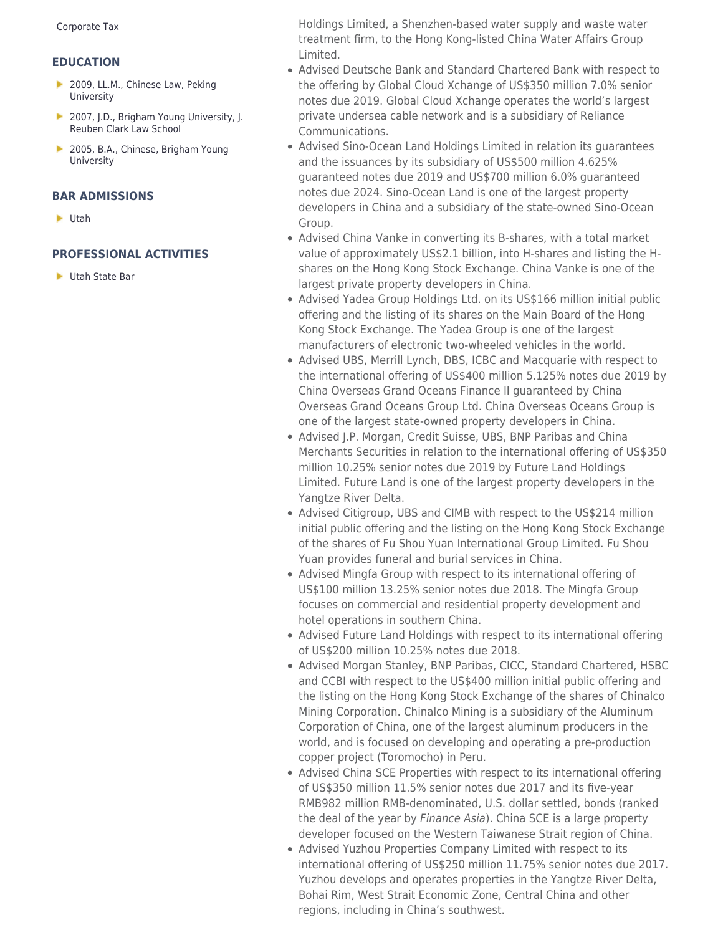## **EDUCATION**

- 2009, LL.M., Chinese Law, Peking University
- ▶ 2007, J.D., Brigham Young University, J. Reuben Clark Law School
- 2005, B.A., Chinese, Brigham Young University

### **BAR ADMISSIONS**

Utah

## **PROFESSIONAL ACTIVITIES**

**Utah State Bar** 

Holdings Limited, a Shenzhen-based water supply and waste water treatment firm, to the Hong Kong-listed China Water Affairs Group Limited.

- Advised Deutsche Bank and Standard Chartered Bank with respect to the offering by Global Cloud Xchange of US\$350 million 7.0% senior notes due 2019. Global Cloud Xchange operates the world's largest private undersea cable network and is a subsidiary of Reliance Communications.
- Advised Sino-Ocean Land Holdings Limited in relation its guarantees and the issuances by its subsidiary of US\$500 million 4.625% guaranteed notes due 2019 and US\$700 million 6.0% guaranteed notes due 2024. Sino-Ocean Land is one of the largest property developers in China and a subsidiary of the state-owned Sino-Ocean Group.
- Advised China Vanke in converting its B-shares, with a total market value of approximately US\$2.1 billion, into H-shares and listing the Hshares on the Hong Kong Stock Exchange. China Vanke is one of the largest private property developers in China.
- Advised Yadea Group Holdings Ltd. on its US\$166 million initial public offering and the listing of its shares on the Main Board of the Hong Kong Stock Exchange. The Yadea Group is one of the largest manufacturers of electronic two-wheeled vehicles in the world.
- Advised UBS, Merrill Lynch, DBS, ICBC and Macquarie with respect to the international offering of US\$400 million 5.125% notes due 2019 by China Overseas Grand Oceans Finance II guaranteed by China Overseas Grand Oceans Group Ltd. China Overseas Oceans Group is one of the largest state-owned property developers in China.
- Advised J.P. Morgan, Credit Suisse, UBS, BNP Paribas and China Merchants Securities in relation to the international offering of US\$350 million 10.25% senior notes due 2019 by Future Land Holdings Limited. Future Land is one of the largest property developers in the Yangtze River Delta.
- Advised Citigroup, UBS and CIMB with respect to the US\$214 million initial public offering and the listing on the Hong Kong Stock Exchange of the shares of Fu Shou Yuan International Group Limited. Fu Shou Yuan provides funeral and burial services in China.
- Advised Mingfa Group with respect to its international offering of US\$100 million 13.25% senior notes due 2018. The Mingfa Group focuses on commercial and residential property development and hotel operations in southern China.
- Advised Future Land Holdings with respect to its international offering of US\$200 million 10.25% notes due 2018.
- Advised Morgan Stanley, BNP Paribas, CICC, Standard Chartered, HSBC and CCBI with respect to the US\$400 million initial public offering and the listing on the Hong Kong Stock Exchange of the shares of Chinalco Mining Corporation. Chinalco Mining is a subsidiary of the Aluminum Corporation of China, one of the largest aluminum producers in the world, and is focused on developing and operating a pre-production copper project (Toromocho) in Peru.
- Advised China SCE Properties with respect to its international offering of US\$350 million 11.5% senior notes due 2017 and its five-year RMB982 million RMB-denominated, U.S. dollar settled, bonds (ranked the deal of the year by Finance Asia). China SCE is a large property developer focused on the Western Taiwanese Strait region of China.
- Advised Yuzhou Properties Company Limited with respect to its international offering of US\$250 million 11.75% senior notes due 2017. Yuzhou develops and operates properties in the Yangtze River Delta, Bohai Rim, West Strait Economic Zone, Central China and other regions, including in China's southwest.